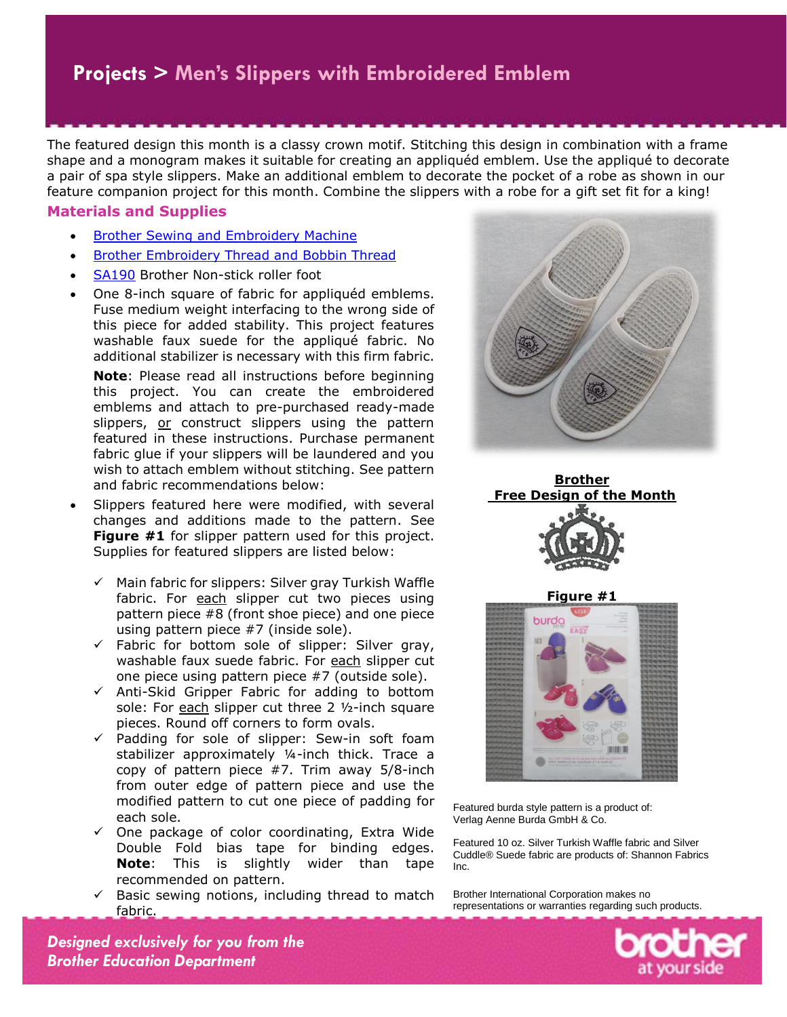The featured design this month is a classy crown motif. Stitching this design in combination with a frame shape and a monogram makes it suitable for creating an appliquéd emblem. Use the appliqué to decorate a pair of spa style slippers. Make an additional emblem to decorate the pocket of a robe as shown in our feature companion project for this month. Combine the slippers with a robe for a gift set fit for a king!

#### **Materials and Supplies**

- [Brother Sewing and Embroidery Machine](https://www.brother-usa.com/homesewing/Products.aspx)
- [Brother Embroidery Thread and Bobbin Thread](http://www.brother-usa.com/Homesewing/Accessories/AccessoryList.aspx?ACASCID=61&CatID=10#.VvHcEWM0o5A)
- [SA190](https://www.brother-usa.com/Homesewing/accessories/AccessoryDetail.aspx?R3AccessoryID=SA190) Brother Non-stick roller foot
- One 8-inch square of fabric for appliquéd emblems. Fuse medium weight interfacing to the wrong side of this piece for added stability. This project features washable faux suede for the appliqué fabric. No additional stabilizer is necessary with this firm fabric.

**Note**: Please read all instructions before beginning this project. You can create the embroidered emblems and attach to pre-purchased ready-made slippers, or construct slippers using the pattern featured in these instructions. Purchase permanent fabric glue if your slippers will be laundered and you wish to attach emblem without stitching. See pattern and fabric recommendations below:

- Slippers featured here were modified, with several changes and additions made to the pattern. See **Figure #1** for slipper pattern used for this project. Supplies for featured slippers are listed below:
	- $\checkmark$  Main fabric for slippers: Silver gray Turkish Waffle fabric. For each slipper cut two pieces using pattern piece #8 (front shoe piece) and one piece using pattern piece #7 (inside sole).
	- $\checkmark$  Fabric for bottom sole of slipper: Silver gray, washable faux suede fabric. For each slipper cut one piece using pattern piece #7 (outside sole).
	- $\checkmark$  Anti-Skid Gripper Fabric for adding to bottom sole: For each slipper cut three  $2$   $1/2$ -inch square pieces. Round off corners to form ovals.
	- $\checkmark$  Padding for sole of slipper: Sew-in soft foam stabilizer approximately ¼-inch thick. Trace a copy of pattern piece #7. Trim away 5/8-inch from outer edge of pattern piece and use the modified pattern to cut one piece of padding for each sole.
	- $\checkmark$  One package of color coordinating, Extra Wide Double Fold bias tape for binding edges. **Note**: This is slightly wider than tape recommended on pattern.
	- $\checkmark$  Basic sewing notions, including thread to match fabric.







Featured burda style pattern is a product of: Verlag Aenne Burda GmbH & Co.

Featured 10 oz. Silver Turkish Waffle fabric and Silver Cuddle® Suede fabric are products of: Shannon Fabrics Inc.

Brother International Corporation makes no representations or warranties regarding such products.

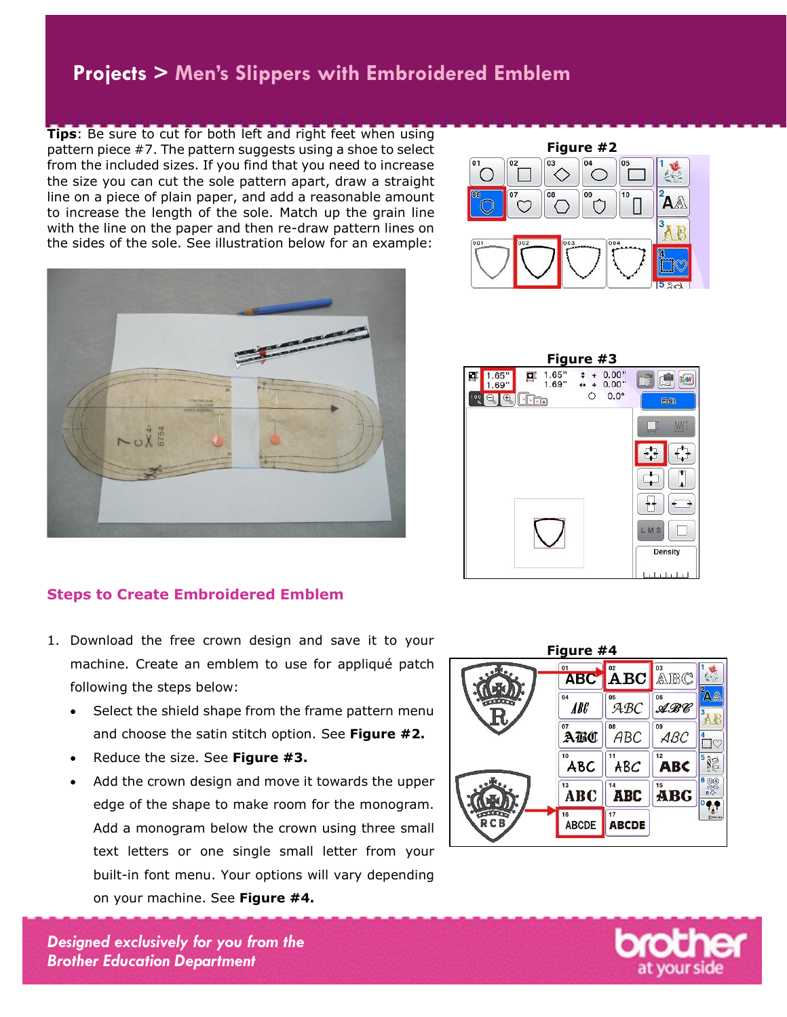**Tips**: Be sure to cut for both left and right feet when using pattern piece #7. The pattern suggests using a shoe to select from the included sizes. If you find that you need to increase the size you can cut the sole pattern apart, draw a straight line on a piece of plain paper, and add a reasonable amount to increase the length of the sole. Match up the grain line with the line on the paper and then re-draw pattern lines on the sides of the sole. See illustration below for an example:





- 1. Download the free crown design and save it to your machine. Create an emblem to use for appliqué patch following the steps below:
	- Select the shield shape from the frame pattern menu and choose the satin stitch option. See **Figure #2.**
	- Reduce the size. See **Figure #3.**
	- Add the crown design and move it towards the upper edge of the shape to make room for the monogram. Add a monogram below the crown using three small text letters or one single small letter from your built-in font menu. Your options will vary depending on your machine. See **Figure #4.**







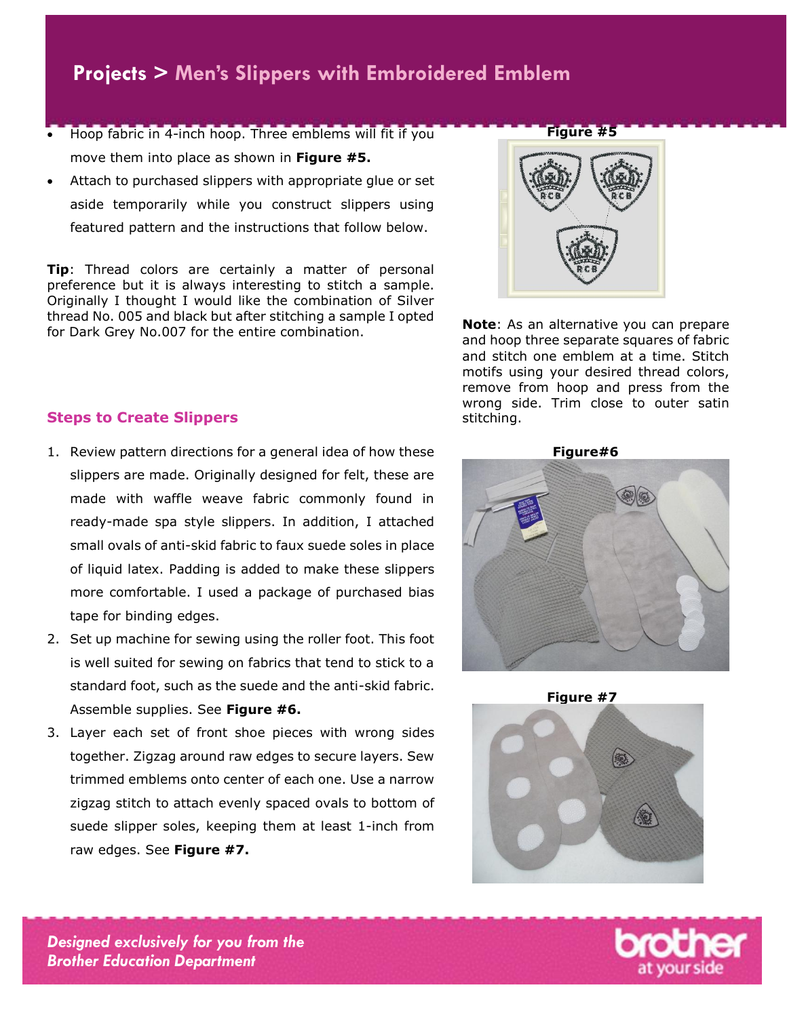- Hoop fabric in 4-inch hoop. Three emblems will fit if you move them into place as shown in **Figure #5.**
- Attach to purchased slippers with appropriate glue or set aside temporarily while you construct slippers using featured pattern and the instructions that follow below.

**Tip**: Thread colors are certainly a matter of personal preference but it is always interesting to stitch a sample. Originally I thought I would like the combination of Silver thread No. 005 and black but after stitching a sample I opted for Dark Grey No.007 for the entire combination.



**Note**: As an alternative you can prepare and hoop three separate squares of fabric and stitch one emblem at a time. Stitch motifs using your desired thread colors, remove from hoop and press from the wrong side. Trim close to outer satin stitching.

#### **Steps to Create Slippers**

- 1. Review pattern directions for a general idea of how these slippers are made. Originally designed for felt, these are made with waffle weave fabric commonly found in ready-made spa style slippers. In addition, I attached small ovals of anti-skid fabric to faux suede soles in place of liquid latex. Padding is added to make these slippers more comfortable. I used a package of purchased bias tape for binding edges.
- 2. Set up machine for sewing using the roller foot. This foot is well suited for sewing on fabrics that tend to stick to a standard foot, such as the suede and the anti-skid fabric. Assemble supplies. See **Figure #6.**
- 3. Layer each set of front shoe pieces with wrong sides together. Zigzag around raw edges to secure layers. Sew trimmed emblems onto center of each one. Use a narrow zigzag stitch to attach evenly spaced ovals to bottom of suede slipper soles, keeping them at least 1-inch from raw edges. See **Figure #7.**

 **Figure#6**



**Figure #7**



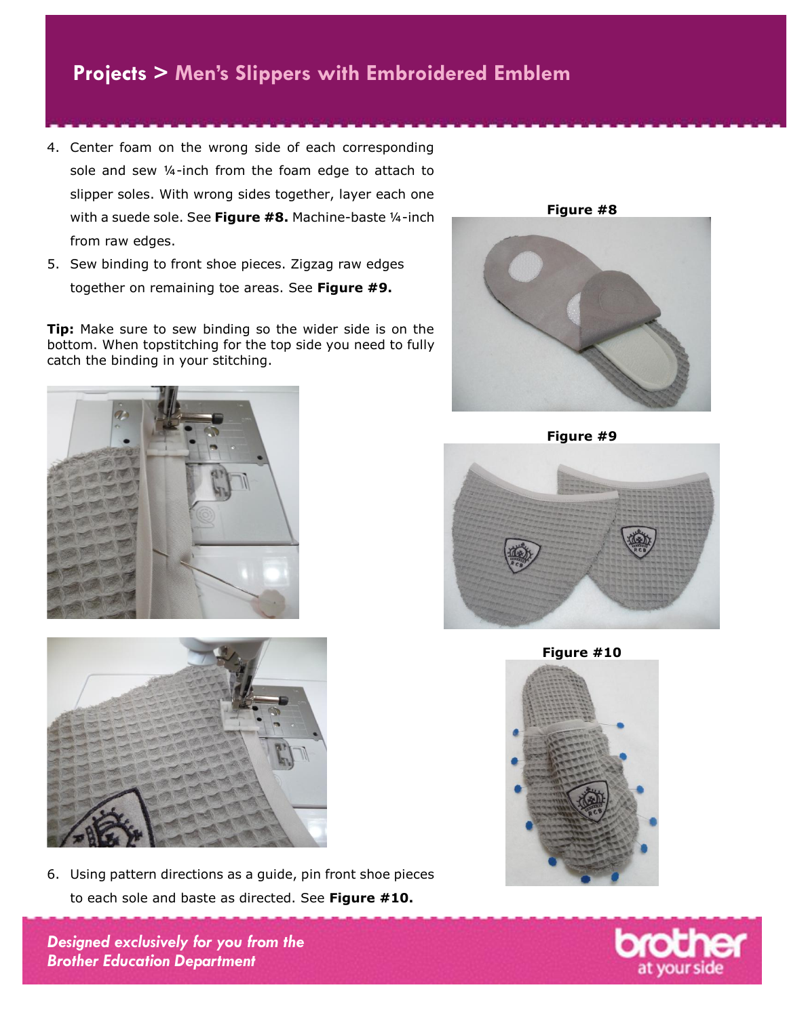- 4. Center foam on the wrong side of each corresponding sole and sew ¼-inch from the foam edge to attach to slipper soles. With wrong sides together, layer each one with a suede sole. See **Figure #8.** Machine-baste ¼-inch from raw edges.
- 5. Sew binding to front shoe pieces. Zigzag raw edges together on remaining toe areas. See **Figure #9.**

**Tip:** Make sure to sew binding so the wider side is on the bottom. When topstitching for the top side you need to fully catch the binding in your stitching.





6. Using pattern directions as a guide, pin front shoe pieces to each sole and baste as directed. See **Figure #10.**

*Designed exclusively for you from the Brother Education Department*



**Figure #9**

**Figure #10**